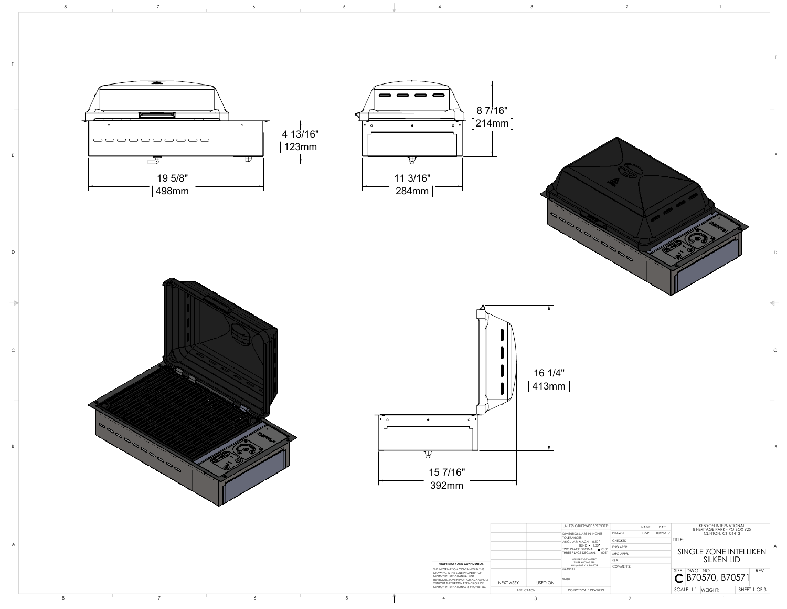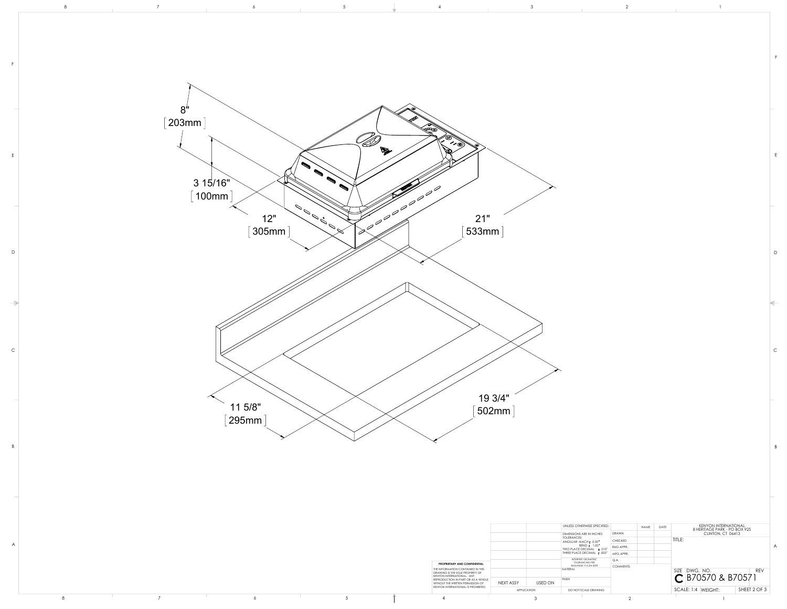